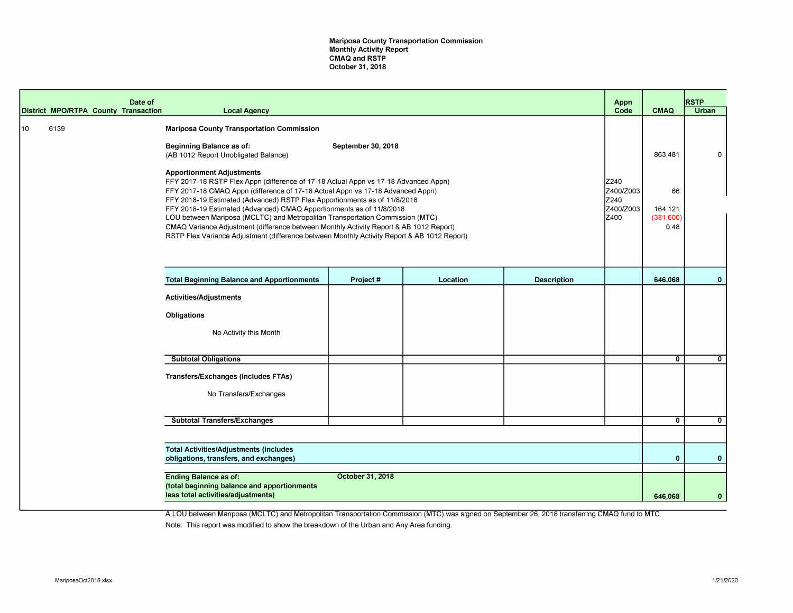Mariposa County Transportation Commission Monthly Activity Report CMAQ and RSTP October 31, 2018

|    | District MPO/RTPA County Transaction | Date of | <b>Local Agency</b>                                                                                                                                                                                                                                                                                                                                                                                                                                                                                                                                                                                                                      |                    |          |                    | Appn<br>Code                                     | <b>CMAQ</b>                         | <b>RSTP</b><br><b>Urban</b> |
|----|--------------------------------------|---------|------------------------------------------------------------------------------------------------------------------------------------------------------------------------------------------------------------------------------------------------------------------------------------------------------------------------------------------------------------------------------------------------------------------------------------------------------------------------------------------------------------------------------------------------------------------------------------------------------------------------------------------|--------------------|----------|--------------------|--------------------------------------------------|-------------------------------------|-----------------------------|
|    |                                      |         |                                                                                                                                                                                                                                                                                                                                                                                                                                                                                                                                                                                                                                          |                    |          |                    |                                                  |                                     |                             |
| 10 | 6139                                 |         | <b>Mariposa County Transportation Commission</b><br><b>Beginning Balance as of:</b><br>(AB 1012 Report Unobligated Balance)                                                                                                                                                                                                                                                                                                                                                                                                                                                                                                              | September 30, 2018 |          |                    |                                                  | 863,481                             | $\Omega$                    |
|    |                                      |         | <b>Apportionment Adjustments</b><br>FFY 2017-18 RSTP Flex Appn (difference of 17-18 Actual Appn vs 17-18 Advanced Appn)<br>FFY 2017-18 CMAQ Appn (difference of 17-18 Actual Appn vs 17-18 Advanced Appn)<br>FFY 2018-19 Estimated (Advanced) RSTP Flex Apportionments as of 11/8/2018<br>FFY 2018-19 Estimated (Advanced) CMAQ Apportionments as of 11/8/2018<br>LOU between Mariposa (MCLTC) and Metropolitan Transportation Commission (MTC)<br>CMAQ Variance Adjustment (difference between Monthly Activity Report & AB 1012 Report)<br>RSTP Flex Variance Adjustment (difference between Monthly Activity Report & AB 1012 Report) |                    |          |                    | Z240<br>IZ400/Z003<br>Z240<br>IZ400/Z003<br>Z400 | 66<br>164,121<br>(381, 600)<br>0.48 |                             |
|    |                                      |         |                                                                                                                                                                                                                                                                                                                                                                                                                                                                                                                                                                                                                                          |                    |          |                    |                                                  |                                     |                             |
|    |                                      |         | <b>Total Beginning Balance and Apportionments</b>                                                                                                                                                                                                                                                                                                                                                                                                                                                                                                                                                                                        | Project#           | Location | <b>Description</b> |                                                  | 646,068                             | $\mathbf{0}$                |
|    |                                      |         | <b>Activities/Adjustments</b><br>Obligations<br>No Activity this Month                                                                                                                                                                                                                                                                                                                                                                                                                                                                                                                                                                   |                    |          |                    |                                                  |                                     |                             |
|    |                                      |         | <b>Subtotal Obligations</b>                                                                                                                                                                                                                                                                                                                                                                                                                                                                                                                                                                                                              |                    |          |                    |                                                  | $\mathbf{0}$                        | $\mathbf{0}$                |
|    |                                      |         | Transfers/Exchanges (includes FTAs)<br>No Transfers/Exchanges                                                                                                                                                                                                                                                                                                                                                                                                                                                                                                                                                                            |                    |          |                    |                                                  |                                     |                             |
|    |                                      |         | <b>Subtotal Transfers/Exchanges</b>                                                                                                                                                                                                                                                                                                                                                                                                                                                                                                                                                                                                      |                    |          |                    |                                                  | $\mathbf{0}$                        | $\mathbf{0}$                |
|    |                                      |         |                                                                                                                                                                                                                                                                                                                                                                                                                                                                                                                                                                                                                                          |                    |          |                    |                                                  |                                     |                             |
|    |                                      |         | <b>Total Activities/Adjustments (includes</b><br>obligations, transfers, and exchanges)                                                                                                                                                                                                                                                                                                                                                                                                                                                                                                                                                  |                    |          |                    |                                                  | $\mathbf{0}$                        | $\mathbf{0}$                |
|    |                                      |         | <b>Ending Balance as of:</b><br>(total beginning balance and apportionments<br>less total activities/adjustments)                                                                                                                                                                                                                                                                                                                                                                                                                                                                                                                        | October 31, 2018   |          |                    |                                                  | 646,068                             | $\mathbf{0}$                |

A LOU between Mariposa (MCLTC) and Metropolitan Transportation Commission (MTC) was signed on September 26, 2018 transferring CMAQ fund to MTC. Note: This report was modified to show the breakdown of the Urban and Any Area funding.